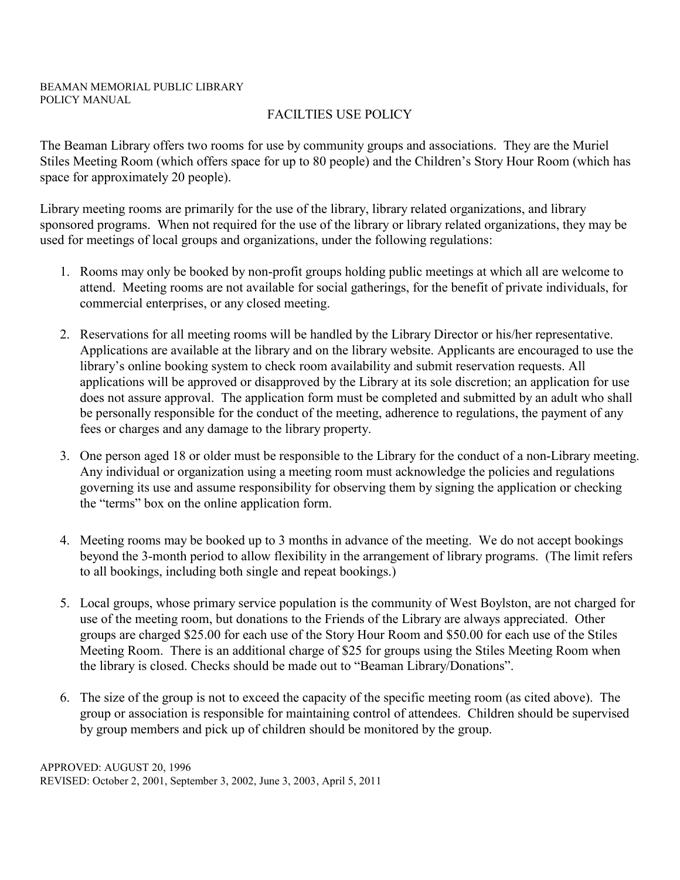# FACILTIES USE POLICY

The Beaman Library offers two rooms for use by community groups and associations. They are the Muriel Stiles Meeting Room (which offers space for up to 80 people) and the Children's Story Hour Room (which has space for approximately 20 people).

Library meeting rooms are primarily for the use of the library, library related organizations, and library sponsored programs. When not required for the use of the library or library related organizations, they may be used for meetings of local groups and organizations, under the following regulations:

- 1. Rooms may only be booked by non-profit groups holding public meetings at which all are welcome to attend. Meeting rooms are not available for social gatherings, for the benefit of private individuals, for commercial enterprises, or any closed meeting.
- 2. Reservations for all meeting rooms will be handled by the Library Director or his/her representative. Applications are available at the library and on the library website. Applicants are encouraged to use the library's online booking system to check room availability and submit reservation requests. All applications will be approved or disapproved by the Library at its sole discretion; an application for use does not assure approval. The application form must be completed and submitted by an adult who shall be personally responsible for the conduct of the meeting, adherence to regulations, the payment of any fees or charges and any damage to the library property.
- 3. One person aged 18 or older must be responsible to the Library for the conduct of a non-Library meeting. Any individual or organization using a meeting room must acknowledge the policies and regulations governing its use and assume responsibility for observing them by signing the application or checking the "terms" box on the online application form.
- 4. Meeting rooms may be booked up to 3 months in advance of the meeting. We do not accept bookings beyond the 3-month period to allow flexibility in the arrangement of library programs. (The limit refers to all bookings, including both single and repeat bookings.)
- 5. Local groups, whose primary service population is the community of West Boylston, are not charged for use of the meeting room, but donations to the Friends of the Library are always appreciated. Other groups are charged \$25.00 for each use of the Story Hour Room and \$50.00 for each use of the Stiles Meeting Room. There is an additional charge of \$25 for groups using the Stiles Meeting Room when the library is closed. Checks should be made out to "Beaman Library/Donations".
- 6. The size of the group is not to exceed the capacity of the specific meeting room (as cited above). The group or association is responsible for maintaining control of attendees. Children should be supervised by group members and pick up of children should be monitored by the group.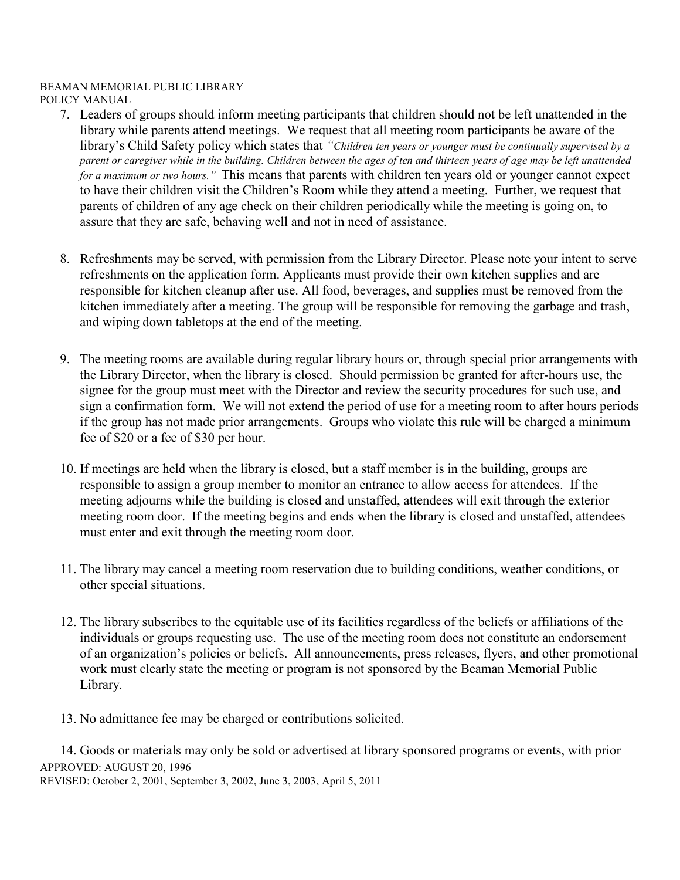## BEAMAN MEMORIAL PUBLIC LIBRARY

POLICY MANUAL

- 7. Leaders of groups should inform meeting participants that children should not be left unattended in the library while parents attend meetings. We request that all meeting room participants be aware of the library's Child Safety policy which states that *"Children ten years or younger must be continually supervised by a parent or caregiver while in the building. Children between the ages of ten and thirteen years of age may be left unattended for a maximum or two hours."* This means that parents with children ten years old or younger cannot expect to have their children visit the Children's Room while they attend a meeting. Further, we request that parents of children of any age check on their children periodically while the meeting is going on, to assure that they are safe, behaving well and not in need of assistance.
- 8. Refreshments may be served, with permission from the Library Director. Please note your intent to serve refreshments on the application form. Applicants must provide their own kitchen supplies and are responsible for kitchen cleanup after use. All food, beverages, and supplies must be removed from the kitchen immediately after a meeting. The group will be responsible for removing the garbage and trash, and wiping down tabletops at the end of the meeting.
- 9. The meeting rooms are available during regular library hours or, through special prior arrangements with the Library Director, when the library is closed. Should permission be granted for after-hours use, the signee for the group must meet with the Director and review the security procedures for such use, and sign a confirmation form. We will not extend the period of use for a meeting room to after hours periods if the group has not made prior arrangements. Groups who violate this rule will be charged a minimum fee of \$20 or a fee of \$30 per hour.
- 10. If meetings are held when the library is closed, but a staff member is in the building, groups are responsible to assign a group member to monitor an entrance to allow access for attendees. If the meeting adjourns while the building is closed and unstaffed, attendees will exit through the exterior meeting room door. If the meeting begins and ends when the library is closed and unstaffed, attendees must enter and exit through the meeting room door.
- 11. The library may cancel a meeting room reservation due to building conditions, weather conditions, or other special situations.
- 12. The library subscribes to the equitable use of its facilities regardless of the beliefs or affiliations of the individuals or groups requesting use. The use of the meeting room does not constitute an endorsement of an organization's policies or beliefs. All announcements, press releases, flyers, and other promotional work must clearly state the meeting or program is not sponsored by the Beaman Memorial Public Library.
- 13. No admittance fee may be charged or contributions solicited.

APPROVED: AUGUST 20, 1996 REVISED: October 2, 2001, September 3, 2002, June 3, 2003, April 5, 2011 14. Goods or materials may only be sold or advertised at library sponsored programs or events, with prior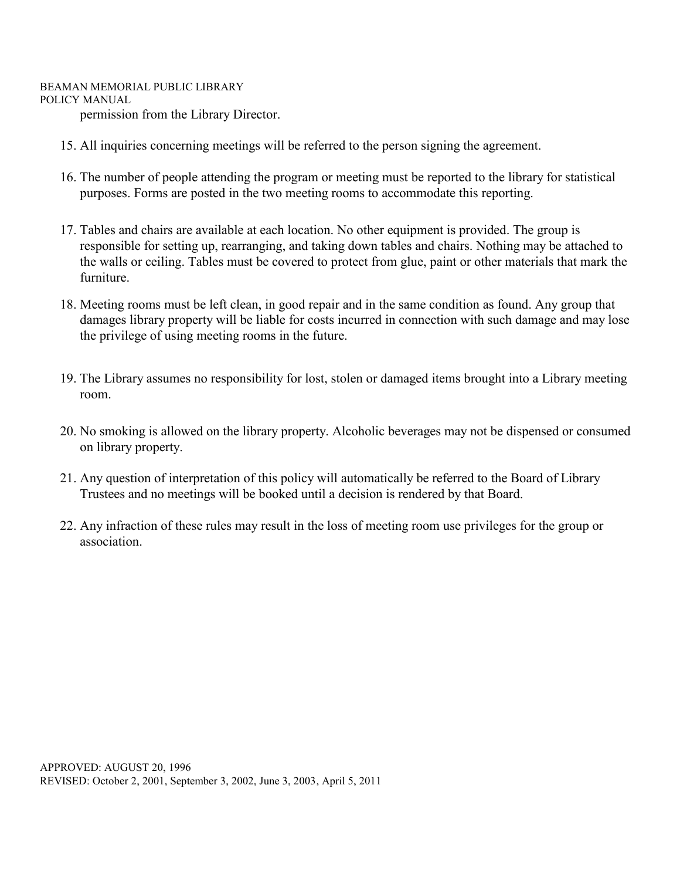#### BEAMAN MEMORIAL PUBLIC LIBRARY POLICY MANUAL

permission from the Library Director.

- 15. All inquiries concerning meetings will be referred to the person signing the agreement.
- 16. The number of people attending the program or meeting must be reported to the library for statistical purposes. Forms are posted in the two meeting rooms to accommodate this reporting.
- 17. Tables and chairs are available at each location. No other equipment is provided. The group is responsible for setting up, rearranging, and taking down tables and chairs. Nothing may be attached to the walls or ceiling. Tables must be covered to protect from glue, paint or other materials that mark the furniture.
- 18. Meeting rooms must be left clean, in good repair and in the same condition as found. Any group that damages library property will be liable for costs incurred in connection with such damage and may lose the privilege of using meeting rooms in the future.
- 19. The Library assumes no responsibility for lost, stolen or damaged items brought into a Library meeting room.
- 20. No smoking is allowed on the library property. Alcoholic beverages may not be dispensed or consumed on library property.
- 21. Any question of interpretation of this policy will automatically be referred to the Board of Library Trustees and no meetings will be booked until a decision is rendered by that Board.
- 22. Any infraction of these rules may result in the loss of meeting room use privileges for the group or association.